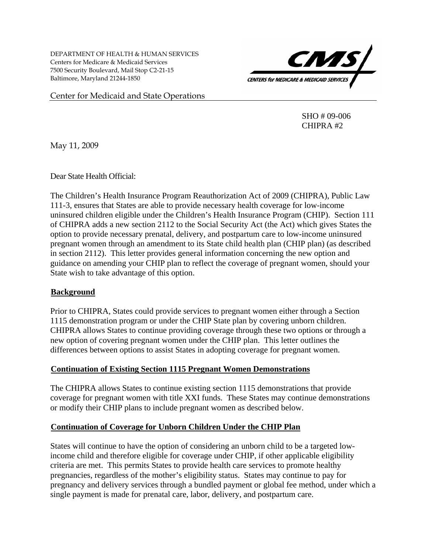DEPARTMENT OF HEALTH & HUMAN SERVICES Centers for Medicare & Medicaid Services 7500 Security Boulevard, Mail Stop C2-21-15 Baltimore, Maryland 21244-1850



Center for Medicaid and State Operations

 SHO # 09-006 CHIPRA #2

May 11, 2009

Dear State Health Official:

The Children's Health Insurance Program Reauthorization Act of 2009 (CHIPRA), Public Law 111-3, ensures that States are able to provide necessary health coverage for low-income uninsured children eligible under the Children's Health Insurance Program (CHIP). Section 111 of CHIPRA adds a new section 2112 to the Social Security Act (the Act) which gives States the option to provide necessary prenatal, delivery, and postpartum care to low-income uninsured pregnant women through an amendment to its State child health plan (CHIP plan) (as described in section 2112). This letter provides general information concerning the new option and guidance on amending your CHIP plan to reflect the coverage of pregnant women, should your State wish to take advantage of this option.

# **Background**

Prior to CHIPRA, States could provide services to pregnant women either through a Section 1115 demonstration program or under the CHIP State plan by covering unborn children. CHIPRA allows States to continue providing coverage through these two options or through a new option of covering pregnant women under the CHIP plan. This letter outlines the differences between options to assist States in adopting coverage for pregnant women.

### <sup>U</sup>**Continuation of Existing Section 1115 Pregnant Women Demonstrations**

The CHIPRA allows States to continue existing section 1115 demonstrations that provide coverage for pregnant women with title XXI funds. These States may continue demonstrations or modify their CHIP plans to include pregnant women as described below.

# <sup>U</sup>**Continuation of Coverage for Unborn Children Under the CHIP Plan**

States will continue to have the option of considering an unborn child to be a targeted lowincome child and therefore eligible for coverage under CHIP, if other applicable eligibility criteria are met. This permits States to provide health care services to promote healthy pregnancies, regardless of the mother's eligibility status. States may continue to pay for pregnancy and delivery services through a bundled payment or global fee method, under which a single payment is made for prenatal care, labor, delivery, and postpartum care.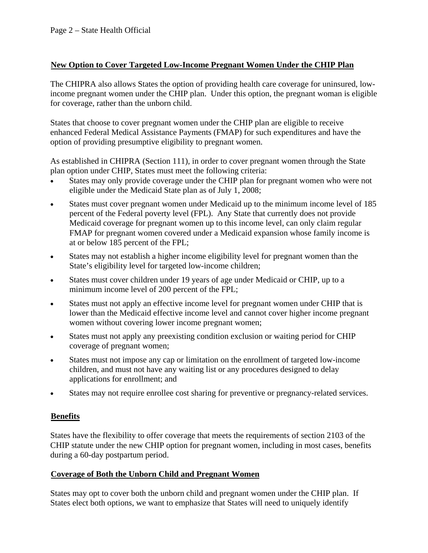# <sup>U</sup>**New Option to Cover Targeted Low-Income Pregnant Women Under the CHIP Plan**

The CHIPRA also allows States the option of providing health care coverage for uninsured, lowincome pregnant women under the CHIP plan. Under this option, the pregnant woman is eligible for coverage, rather than the unborn child.

States that choose to cover pregnant women under the CHIP plan are eligible to receive enhanced Federal Medical Assistance Payments (FMAP) for such expenditures and have the option of providing presumptive eligibility to pregnant women.

As established in CHIPRA (Section 111), in order to cover pregnant women through the State plan option under CHIP, States must meet the following criteria:

- States may only provide coverage under the CHIP plan for pregnant women who were not eligible under the Medicaid State plan as of July 1, 2008;
- States must cover pregnant women under Medicaid up to the minimum income level of 185 percent of the Federal poverty level (FPL). Any State that currently does not provide Medicaid coverage for pregnant women up to this income level, can only claim regular FMAP for pregnant women covered under a Medicaid expansion whose family income is at or below 185 percent of the FPL;
- States may not establish a higher income eligibility level for pregnant women than the State's eligibility level for targeted low-income children;
- States must cover children under 19 years of age under Medicaid or CHIP, up to a minimum income level of 200 percent of the FPL;
- States must not apply an effective income level for pregnant women under CHIP that is lower than the Medicaid effective income level and cannot cover higher income pregnant women without covering lower income pregnant women;
- States must not apply any preexisting condition exclusion or waiting period for CHIP coverage of pregnant women;
- States must not impose any cap or limitation on the enrollment of targeted low-income children, and must not have any waiting list or any procedures designed to delay applications for enrollment; and
- States may not require enrollee cost sharing for preventive or pregnancy-related services.

# <sup>U</sup>**Benefits**

States have the flexibility to offer coverage that meets the requirements of section 2103 of the CHIP statute under the new CHIP option for pregnant women, including in most cases, benefits during a 60-day postpartum period.

# **Coverage of Both the Unborn Child and Pregnant Women**

States may opt to cover both the unborn child and pregnant women under the CHIP plan. If States elect both options, we want to emphasize that States will need to uniquely identify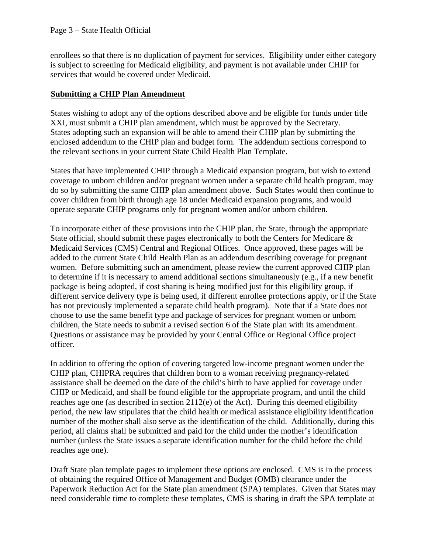enrollees so that there is no duplication of payment for services. Eligibility under either category is subject to screening for Medicaid eligibility, and payment is not available under CHIP for services that would be covered under Medicaid.

# <sup>U</sup>**Submitting a CHIP Plan Amendment**

States wishing to adopt any of the options described above and be eligible for funds under title XXI, must submit a CHIP plan amendment, which must be approved by the Secretary. States adopting such an expansion will be able to amend their CHIP plan by submitting the enclosed addendum to the CHIP plan and budget form. The addendum sections correspond to the relevant sections in your current State Child Health Plan Template.

States that have implemented CHIP through a Medicaid expansion program, but wish to extend coverage to unborn children and/or pregnant women under a separate child health program, may do so by submitting the same CHIP plan amendment above. Such States would then continue to cover children from birth through age 18 under Medicaid expansion programs, and would operate separate CHIP programs only for pregnant women and/or unborn children.

To incorporate either of these provisions into the CHIP plan, the State, through the appropriate State official, should submit these pages electronically to both the Centers for Medicare & Medicaid Services (CMS) Central and Regional Offices. Once approved, these pages will be added to the current State Child Health Plan as an addendum describing coverage for pregnant women. Before submitting such an amendment, please review the current approved CHIP plan to determine if it is necessary to amend additional sections simultaneously (e.g., if a new benefit package is being adopted, if cost sharing is being modified just for this eligibility group, if different service delivery type is being used, if different enrollee protections apply, or if the State has not previously implemented a separate child health program). Note that if a State does not choose to use the same benefit type and package of services for pregnant women or unborn children, the State needs to submit a revised section 6 of the State plan with its amendment. Questions or assistance may be provided by your Central Office or Regional Office project officer.

In addition to offering the option of covering targeted low-income pregnant women under the CHIP plan, CHIPRA requires that children born to a woman receiving pregnancy-related assistance shall be deemed on the date of the child's birth to have applied for coverage under CHIP or Medicaid, and shall be found eligible for the appropriate program, and until the child reaches age one (as described in section 2112(e) of the Act). During this deemed eligibility period, the new law stipulates that the child health or medical assistance eligibility identification number of the mother shall also serve as the identification of the child. Additionally, during this period, all claims shall be submitted and paid for the child under the mother's identification number (unless the State issues a separate identification number for the child before the child reaches age one).

Draft State plan template pages to implement these options are enclosed. CMS is in the process of obtaining the required Office of Management and Budget (OMB) clearance under the Paperwork Reduction Act for the State plan amendment (SPA) templates. Given that States may need considerable time to complete these templates, CMS is sharing in draft the SPA template at